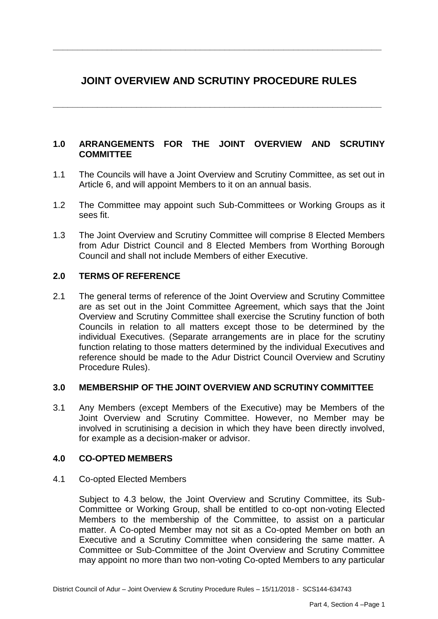# **JOINT OVERVIEW AND SCRUTINY PROCEDURE RULES**

**\_\_\_\_\_\_\_\_\_\_\_\_\_\_\_\_\_\_\_\_\_\_\_\_\_\_\_\_\_\_\_\_\_\_\_\_\_\_\_\_\_\_\_\_\_\_\_\_\_\_\_\_\_\_\_\_\_\_\_\_\_\_\_\_\_\_\_**

**\_\_\_\_\_\_\_\_\_\_\_\_\_\_\_\_\_\_\_\_\_\_\_\_\_\_\_\_\_\_\_\_\_\_\_\_\_\_\_\_\_\_\_\_\_\_\_\_\_\_\_\_\_\_\_\_\_\_\_\_\_\_\_\_\_\_\_**

# **1.0 ARRANGEMENTS FOR THE JOINT OVERVIEW AND SCRUTINY COMMITTEE**

- 1.1 The Councils will have a Joint Overview and Scrutiny Committee, as set out in Article 6, and will appoint Members to it on an annual basis.
- 1.2 The Committee may appoint such Sub-Committees or Working Groups as it sees fit.
- 1.3 The Joint Overview and Scrutiny Committee will comprise 8 Elected Members from Adur District Council and 8 Elected Members from Worthing Borough Council and shall not include Members of either Executive.

# **2.0 TERMS OF REFERENCE**

2.1 The general terms of reference of the Joint Overview and Scrutiny Committee are as set out in the Joint Committee Agreement, which says that the Joint Overview and Scrutiny Committee shall exercise the Scrutiny function of both Councils in relation to all matters except those to be determined by the individual Executives. (Separate arrangements are in place for the scrutiny function relating to those matters determined by the individual Executives and reference should be made to the Adur District Council Overview and Scrutiny Procedure Rules).

#### **3.0 MEMBERSHIP OF THE JOINT OVERVIEW AND SCRUTINY COMMITTEE**

3.1 Any Members (except Members of the Executive) may be Members of the Joint Overview and Scrutiny Committee. However, no Member may be involved in scrutinising a decision in which they have been directly involved, for example as a decision-maker or advisor.

# **4.0 CO-OPTED MEMBERS**

4.1 Co-opted Elected Members

Subject to 4.3 below, the Joint Overview and Scrutiny Committee, its Sub-Committee or Working Group, shall be entitled to co-opt non-voting Elected Members to the membership of the Committee, to assist on a particular matter. A Co-opted Member may not sit as a Co-opted Member on both an Executive and a Scrutiny Committee when considering the same matter. A Committee or Sub-Committee of the Joint Overview and Scrutiny Committee may appoint no more than two non-voting Co-opted Members to any particular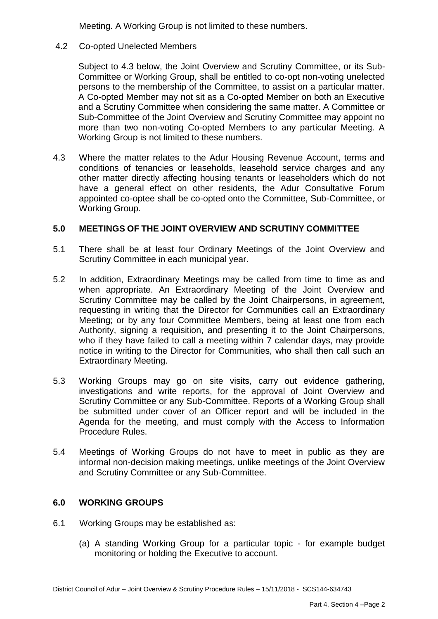Meeting. A Working Group is not limited to these numbers.

4.2 Co-opted Unelected Members

Subject to 4.3 below, the Joint Overview and Scrutiny Committee, or its Sub-Committee or Working Group, shall be entitled to co-opt non-voting unelected persons to the membership of the Committee, to assist on a particular matter. A Co-opted Member may not sit as a Co-opted Member on both an Executive and a Scrutiny Committee when considering the same matter. A Committee or Sub-Committee of the Joint Overview and Scrutiny Committee may appoint no more than two non-voting Co-opted Members to any particular Meeting. A Working Group is not limited to these numbers.

4.3 Where the matter relates to the Adur Housing Revenue Account, terms and conditions of tenancies or leaseholds, leasehold service charges and any other matter directly affecting housing tenants or leaseholders which do not have a general effect on other residents, the Adur Consultative Forum appointed co-optee shall be co-opted onto the Committee, Sub-Committee, or Working Group.

## **5.0 MEETINGS OF THE JOINT OVERVIEW AND SCRUTINY COMMITTEE**

- 5.1 There shall be at least four Ordinary Meetings of the Joint Overview and Scrutiny Committee in each municipal year.
- 5.2 In addition, Extraordinary Meetings may be called from time to time as and when appropriate. An Extraordinary Meeting of the Joint Overview and Scrutiny Committee may be called by the Joint Chairpersons, in agreement, requesting in writing that the Director for Communities call an Extraordinary Meeting; or by any four Committee Members, being at least one from each Authority, signing a requisition, and presenting it to the Joint Chairpersons, who if they have failed to call a meeting within 7 calendar days, may provide notice in writing to the Director for Communities, who shall then call such an Extraordinary Meeting.
- 5.3 Working Groups may go on site visits, carry out evidence gathering, investigations and write reports, for the approval of Joint Overview and Scrutiny Committee or any Sub-Committee. Reports of a Working Group shall be submitted under cover of an Officer report and will be included in the Agenda for the meeting, and must comply with the Access to Information Procedure Rules.
- 5.4 Meetings of Working Groups do not have to meet in public as they are informal non-decision making meetings, unlike meetings of the Joint Overview and Scrutiny Committee or any Sub-Committee.

#### **6.0 WORKING GROUPS**

- 6.1 Working Groups may be established as:
	- (a) A standing Working Group for a particular topic for example budget monitoring or holding the Executive to account.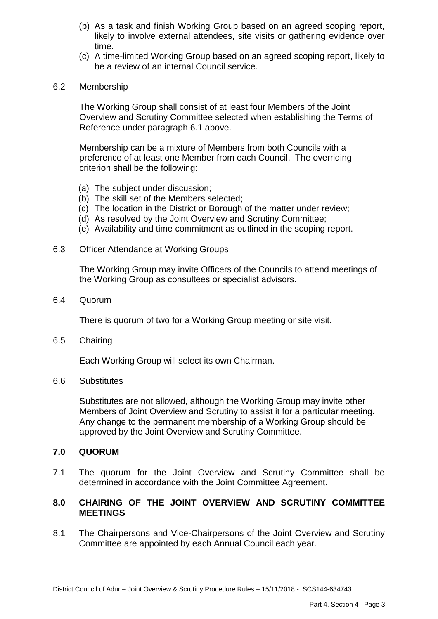- (b) As a task and finish Working Group based on an agreed scoping report, likely to involve external attendees, site visits or gathering evidence over time.
- (c) A time-limited Working Group based on an agreed scoping report, likely to be a review of an internal Council service.
- 6.2 Membership

The Working Group shall consist of at least four Members of the Joint Overview and Scrutiny Committee selected when establishing the Terms of Reference under paragraph 6.1 above.

Membership can be a mixture of Members from both Councils with a preference of at least one Member from each Council. The overriding criterion shall be the following:

- (a) The subject under discussion;
- (b) The skill set of the Members selected;
- (c) The location in the District or Borough of the matter under review;
- (d) As resolved by the Joint Overview and Scrutiny Committee;
- (e) Availability and time commitment as outlined in the scoping report.
- 6.3 Officer Attendance at Working Groups

The Working Group may invite Officers of the Councils to attend meetings of the Working Group as consultees or specialist advisors.

6.4 Quorum

There is quorum of two for a Working Group meeting or site visit.

6.5 Chairing

Each Working Group will select its own Chairman.

6.6 Substitutes

Substitutes are not allowed, although the Working Group may invite other Members of Joint Overview and Scrutiny to assist it for a particular meeting. Any change to the permanent membership of a Working Group should be approved by the Joint Overview and Scrutiny Committee.

#### **7.0 QUORUM**

7.1 The quorum for the Joint Overview and Scrutiny Committee shall be determined in accordance with the Joint Committee Agreement.

#### **8.0 CHAIRING OF THE JOINT OVERVIEW AND SCRUTINY COMMITTEE MEETINGS**

8.1 The Chairpersons and Vice-Chairpersons of the Joint Overview and Scrutiny Committee are appointed by each Annual Council each year.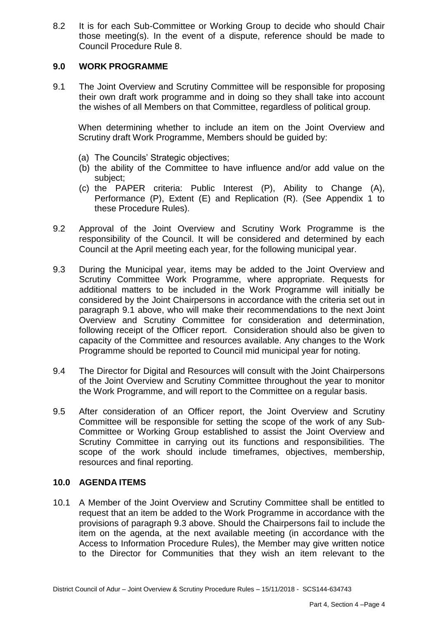8.2 It is for each Sub-Committee or Working Group to decide who should Chair those meeting(s). In the event of a dispute, reference should be made to Council Procedure Rule 8.

#### **9.0 WORK PROGRAMME**

9.1 The Joint Overview and Scrutiny Committee will be responsible for proposing their own draft work programme and in doing so they shall take into account the wishes of all Members on that Committee, regardless of political group.

When determining whether to include an item on the Joint Overview and Scrutiny draft Work Programme, Members should be guided by:

- (a) The Councils' Strategic objectives;
- (b) the ability of the Committee to have influence and/or add value on the subject;
- (c) the PAPER criteria: Public Interest (P), Ability to Change (A), Performance (P), Extent (E) and Replication (R). (See Appendix 1 to these Procedure Rules).
- 9.2 Approval of the Joint Overview and Scrutiny Work Programme is the responsibility of the Council. It will be considered and determined by each Council at the April meeting each year, for the following municipal year.
- 9.3 During the Municipal year, items may be added to the Joint Overview and Scrutiny Committee Work Programme, where appropriate. Requests for additional matters to be included in the Work Programme will initially be considered by the Joint Chairpersons in accordance with the criteria set out in paragraph 9.1 above, who will make their recommendations to the next Joint Overview and Scrutiny Committee for consideration and determination, following receipt of the Officer report. Consideration should also be given to capacity of the Committee and resources available. Any changes to the Work Programme should be reported to Council mid municipal year for noting.
- 9.4 The Director for Digital and Resources will consult with the Joint Chairpersons of the Joint Overview and Scrutiny Committee throughout the year to monitor the Work Programme, and will report to the Committee on a regular basis.
- 9.5 After consideration of an Officer report, the Joint Overview and Scrutiny Committee will be responsible for setting the scope of the work of any Sub-Committee or Working Group established to assist the Joint Overview and Scrutiny Committee in carrying out its functions and responsibilities. The scope of the work should include timeframes, objectives, membership, resources and final reporting.

#### **10.0 AGENDA ITEMS**

10.1 A Member of the Joint Overview and Scrutiny Committee shall be entitled to request that an item be added to the Work Programme in accordance with the provisions of paragraph 9.3 above. Should the Chairpersons fail to include the item on the agenda, at the next available meeting (in accordance with the Access to Information Procedure Rules), the Member may give written notice to the Director for Communities that they wish an item relevant to the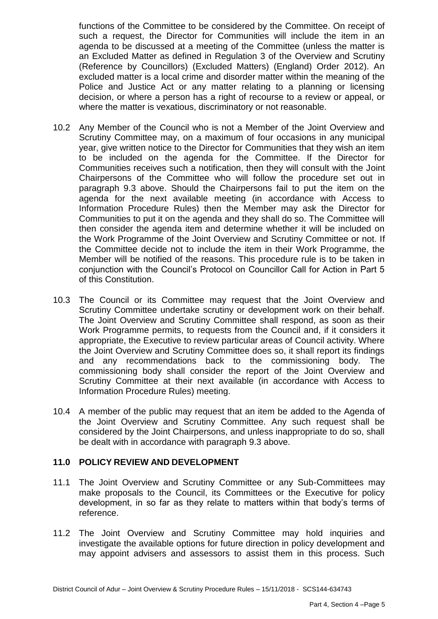functions of the Committee to be considered by the Committee. On receipt of such a request, the Director for Communities will include the item in an agenda to be discussed at a meeting of the Committee (unless the matter is an Excluded Matter as defined in Regulation 3 of the Overview and Scrutiny (Reference by Councillors) (Excluded Matters) (England) Order 2012). An excluded matter is a local crime and disorder matter within the meaning of the Police and Justice Act or any matter relating to a planning or licensing decision, or where a person has a right of recourse to a review or appeal, or where the matter is vexatious, discriminatory or not reasonable.

- 10.2 Any Member of the Council who is not a Member of the Joint Overview and Scrutiny Committee may, on a maximum of four occasions in any municipal year, give written notice to the Director for Communities that they wish an item to be included on the agenda for the Committee. If the Director for Communities receives such a notification, then they will consult with the Joint Chairpersons of the Committee who will follow the procedure set out in paragraph 9.3 above. Should the Chairpersons fail to put the item on the agenda for the next available meeting (in accordance with Access to Information Procedure Rules) then the Member may ask the Director for Communities to put it on the agenda and they shall do so. The Committee will then consider the agenda item and determine whether it will be included on the Work Programme of the Joint Overview and Scrutiny Committee or not. If the Committee decide not to include the item in their Work Programme, the Member will be notified of the reasons. This procedure rule is to be taken in conjunction with the Council's Protocol on Councillor Call for Action in Part 5 of this Constitution.
- 10.3 The Council or its Committee may request that the Joint Overview and Scrutiny Committee undertake scrutiny or development work on their behalf. The Joint Overview and Scrutiny Committee shall respond, as soon as their Work Programme permits, to requests from the Council and, if it considers it appropriate, the Executive to review particular areas of Council activity. Where the Joint Overview and Scrutiny Committee does so, it shall report its findings and any recommendations back to the commissioning body. The commissioning body shall consider the report of the Joint Overview and Scrutiny Committee at their next available (in accordance with Access to Information Procedure Rules) meeting.
- 10.4 A member of the public may request that an item be added to the Agenda of the Joint Overview and Scrutiny Committee. Any such request shall be considered by the Joint Chairpersons, and unless inappropriate to do so, shall be dealt with in accordance with paragraph 9.3 above.

#### **11.0 POLICY REVIEW AND DEVELOPMENT**

- 11.1 The Joint Overview and Scrutiny Committee or any Sub-Committees may make proposals to the Council, its Committees or the Executive for policy development, in so far as they relate to matters within that body's terms of reference.
- 11.2 The Joint Overview and Scrutiny Committee may hold inquiries and investigate the available options for future direction in policy development and may appoint advisers and assessors to assist them in this process. Such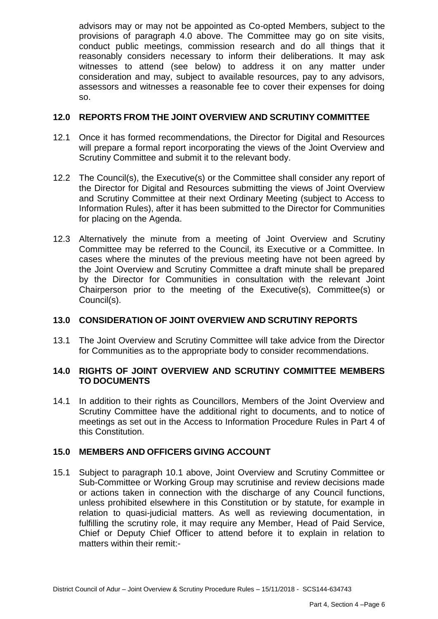advisors may or may not be appointed as Co-opted Members, subject to the provisions of paragraph 4.0 above. The Committee may go on site visits, conduct public meetings, commission research and do all things that it reasonably considers necessary to inform their deliberations. It may ask witnesses to attend (see below) to address it on any matter under consideration and may, subject to available resources, pay to any advisors, assessors and witnesses a reasonable fee to cover their expenses for doing so.

## **12.0 REPORTS FROM THE JOINT OVERVIEW AND SCRUTINY COMMITTEE**

- 12.1 Once it has formed recommendations, the Director for Digital and Resources will prepare a formal report incorporating the views of the Joint Overview and Scrutiny Committee and submit it to the relevant body.
- 12.2 The Council(s), the Executive(s) or the Committee shall consider any report of the Director for Digital and Resources submitting the views of Joint Overview and Scrutiny Committee at their next Ordinary Meeting (subject to Access to Information Rules), after it has been submitted to the Director for Communities for placing on the Agenda.
- 12.3 Alternatively the minute from a meeting of Joint Overview and Scrutiny Committee may be referred to the Council, its Executive or a Committee. In cases where the minutes of the previous meeting have not been agreed by the Joint Overview and Scrutiny Committee a draft minute shall be prepared by the Director for Communities in consultation with the relevant Joint Chairperson prior to the meeting of the Executive(s), Committee(s) or Council(s).

# **13.0 CONSIDERATION OF JOINT OVERVIEW AND SCRUTINY REPORTS**

13.1 The Joint Overview and Scrutiny Committee will take advice from the Director for Communities as to the appropriate body to consider recommendations.

## **14.0 RIGHTS OF JOINT OVERVIEW AND SCRUTINY COMMITTEE MEMBERS TO DOCUMENTS**

14.1 In addition to their rights as Councillors, Members of the Joint Overview and Scrutiny Committee have the additional right to documents, and to notice of meetings as set out in the Access to Information Procedure Rules in Part 4 of this Constitution.

#### **15.0 MEMBERS AND OFFICERS GIVING ACCOUNT**

15.1 Subject to paragraph 10.1 above, Joint Overview and Scrutiny Committee or Sub-Committee or Working Group may scrutinise and review decisions made or actions taken in connection with the discharge of any Council functions, unless prohibited elsewhere in this Constitution or by statute, for example in relation to quasi-judicial matters. As well as reviewing documentation, in fulfilling the scrutiny role, it may require any Member, Head of Paid Service, Chief or Deputy Chief Officer to attend before it to explain in relation to matters within their remit:-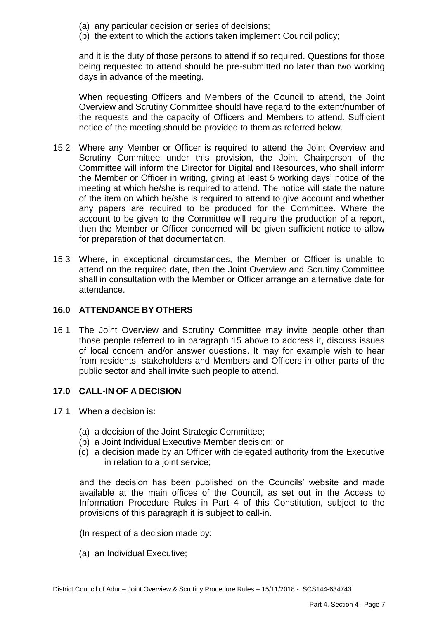- (a) any particular decision or series of decisions;
- (b) the extent to which the actions taken implement Council policy;

and it is the duty of those persons to attend if so required. Questions for those being requested to attend should be pre-submitted no later than two working days in advance of the meeting.

When requesting Officers and Members of the Council to attend, the Joint Overview and Scrutiny Committee should have regard to the extent/number of the requests and the capacity of Officers and Members to attend. Sufficient notice of the meeting should be provided to them as referred below.

- 15.2 Where any Member or Officer is required to attend the Joint Overview and Scrutiny Committee under this provision, the Joint Chairperson of the Committee will inform the Director for Digital and Resources, who shall inform the Member or Officer in writing, giving at least 5 working days' notice of the meeting at which he/she is required to attend. The notice will state the nature of the item on which he/she is required to attend to give account and whether any papers are required to be produced for the Committee. Where the account to be given to the Committee will require the production of a report, then the Member or Officer concerned will be given sufficient notice to allow for preparation of that documentation.
- 15.3 Where, in exceptional circumstances, the Member or Officer is unable to attend on the required date, then the Joint Overview and Scrutiny Committee shall in consultation with the Member or Officer arrange an alternative date for attendance.

## **16.0 ATTENDANCE BY OTHERS**

16.1 The Joint Overview and Scrutiny Committee may invite people other than those people referred to in paragraph 15 above to address it, discuss issues of local concern and/or answer questions. It may for example wish to hear from residents, stakeholders and Members and Officers in other parts of the public sector and shall invite such people to attend.

#### **17.0 CALL-IN OF A DECISION**

- 17.1 When a decision is:
	- (a) a decision of the Joint Strategic Committee;
	- (b) a Joint Individual Executive Member decision; or
	- (c) a decision made by an Officer with delegated authority from the Executive in relation to a joint service;

and the decision has been published on the Councils' website and made available at the main offices of the Council, as set out in the Access to Information Procedure Rules in Part 4 of this Constitution, subject to the provisions of this paragraph it is subject to call-in.

(In respect of a decision made by:

(a) an Individual Executive;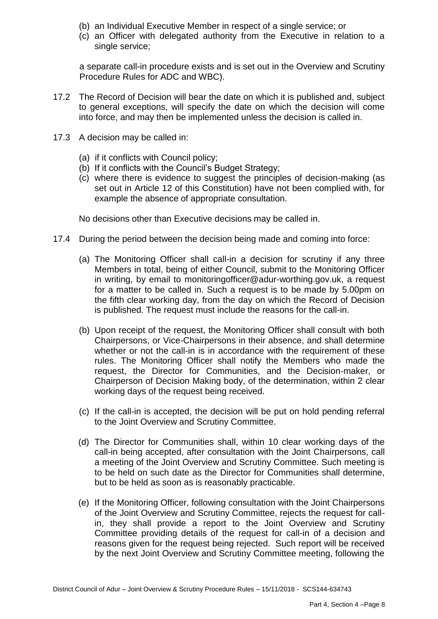- (b) an Individual Executive Member in respect of a single service; or
- (c) an Officer with delegated authority from the Executive in relation to a single service;

a separate call-in procedure exists and is set out in the Overview and Scrutiny Procedure Rules for ADC and WBC).

- 17.2 The Record of Decision will bear the date on which it is published and, subject to general exceptions, will specify the date on which the decision will come into force, and may then be implemented unless the decision is called in.
- 17.3 A decision may be called in:
	- (a) if it conflicts with Council policy;
	- (b) If it conflicts with the Council's Budget Strategy;
	- (c) where there is evidence to suggest the principles of decision-making (as set out in Article 12 of this Constitution) have not been complied with, for example the absence of appropriate consultation.

No decisions other than Executive decisions may be called in.

- 17.4 During the period between the decision being made and coming into force:
	- (a) The Monitoring Officer shall call-in a decision for scrutiny if any three Members in total, being of either Council, submit to the Monitoring Officer in writing, by email to [monitoringofficer@adur-worthing.gov.uk,](mailto:monitoringofficer@adur-worthing.gov.uk) a request for a matter to be called in. Such a request is to be made by 5.00pm on the fifth clear working day, from the day on which the Record of Decision is published. The request must include the reasons for the call-in.
	- (b) Upon receipt of the request, the Monitoring Officer shall consult with both Chairpersons, or Vice-Chairpersons in their absence, and shall determine whether or not the call-in is in accordance with the requirement of these rules. The Monitoring Officer shall notify the Members who made the request, the Director for Communities, and the Decision-maker, or Chairperson of Decision Making body, of the determination, within 2 clear working days of the request being received.
	- (c) If the call-in is accepted, the decision will be put on hold pending referral to the Joint Overview and Scrutiny Committee.
	- (d) The Director for Communities shall, within 10 clear working days of the call-in being accepted, after consultation with the Joint Chairpersons, call a meeting of the Joint Overview and Scrutiny Committee. Such meeting is to be held on such date as the Director for Communities shall determine, but to be held as soon as is reasonably practicable.
	- (e) If the Monitoring Officer, following consultation with the Joint Chairpersons of the Joint Overview and Scrutiny Committee, rejects the request for callin, they shall provide a report to the Joint Overview and Scrutiny Committee providing details of the request for call-in of a decision and reasons given for the request being rejected. Such report will be received by the next Joint Overview and Scrutiny Committee meeting, following the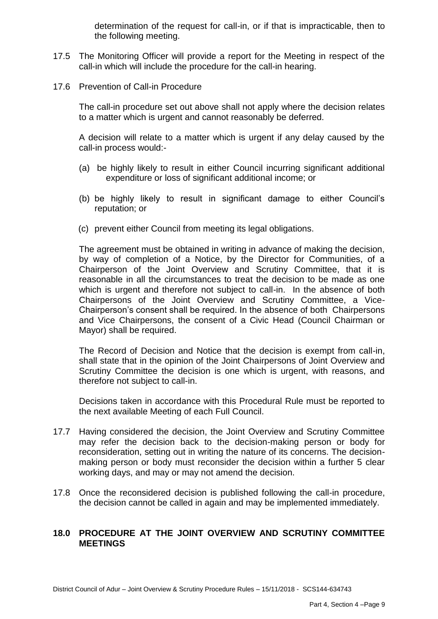determination of the request for call-in, or if that is impracticable, then to the following meeting.

- 17.5 The Monitoring Officer will provide a report for the Meeting in respect of the call-in which will include the procedure for the call-in hearing.
- 17.6 Prevention of Call-in Procedure

The call-in procedure set out above shall not apply where the decision relates to a matter which is urgent and cannot reasonably be deferred.

A decision will relate to a matter which is urgent if any delay caused by the call-in process would:-

- (a) be highly likely to result in either Council incurring significant additional expenditure or loss of significant additional income; or
- (b) be highly likely to result in significant damage to either Council's reputation; or
- (c) prevent either Council from meeting its legal obligations.

The agreement must be obtained in writing in advance of making the decision, by way of completion of a Notice, by the Director for Communities, of a Chairperson of the Joint Overview and Scrutiny Committee, that it is reasonable in all the circumstances to treat the decision to be made as one which is urgent and therefore not subject to call-in. In the absence of both Chairpersons of the Joint Overview and Scrutiny Committee, a Vice-Chairperson's consent shall be required. In the absence of both Chairpersons and Vice Chairpersons, the consent of a Civic Head (Council Chairman or Mayor) shall be required.

The Record of Decision and Notice that the decision is exempt from call-in, shall state that in the opinion of the Joint Chairpersons of Joint Overview and Scrutiny Committee the decision is one which is urgent, with reasons, and therefore not subject to call-in.

Decisions taken in accordance with this Procedural Rule must be reported to the next available Meeting of each Full Council.

- 17.7 Having considered the decision, the Joint Overview and Scrutiny Committee may refer the decision back to the decision-making person or body for reconsideration, setting out in writing the nature of its concerns. The decisionmaking person or body must reconsider the decision within a further 5 clear working days, and may or may not amend the decision.
- 17.8 Once the reconsidered decision is published following the call-in procedure, the decision cannot be called in again and may be implemented immediately.

## **18.0 PROCEDURE AT THE JOINT OVERVIEW AND SCRUTINY COMMITTEE MEETINGS**